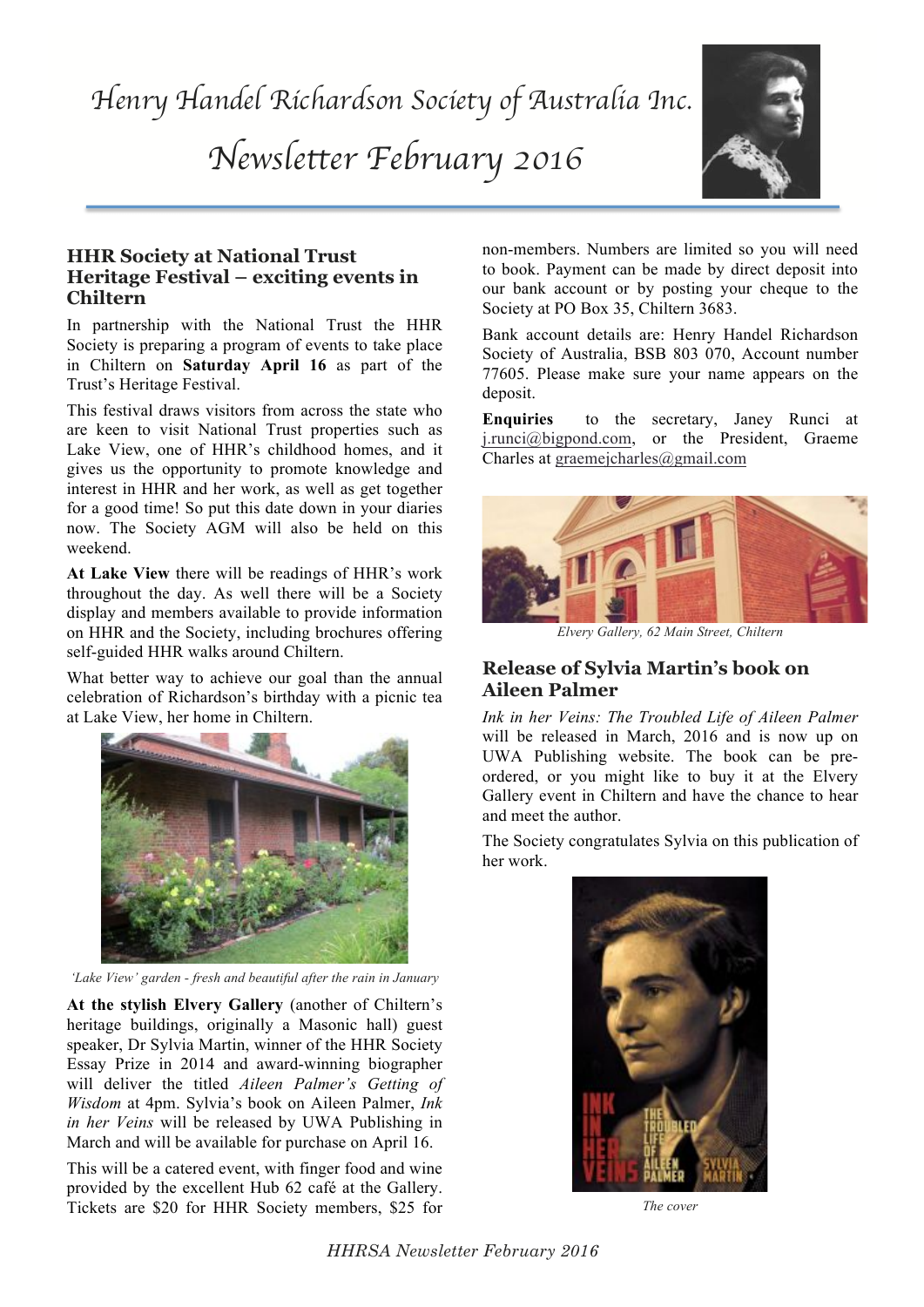*Henry Handel Richardson Society of Australia Inc.* 

*Newsletter February 2016*



#### **HHR Society at National Trust Heritage Festival – exciting events in Chiltern**

In partnership with the National Trust the HHR Society is preparing a program of events to take place in Chiltern on **Saturday April 16** as part of the Trust's Heritage Festival.

This festival draws visitors from across the state who are keen to visit National Trust properties such as Lake View, one of HHR's childhood homes, and it gives us the opportunity to promote knowledge and interest in HHR and her work, as well as get together for a good time! So put this date down in your diaries now. The Society AGM will also be held on this weekend.

**At Lake View** there will be readings of HHR's work throughout the day. As well there will be a Society display and members available to provide information on HHR and the Society, including brochures offering self-guided HHR walks around Chiltern.

What better way to achieve our goal than the annual celebration of Richardson's birthday with a picnic tea at Lake View, her home in Chiltern.



*'Lake View' garden - fresh and beautiful after the rain in January*

**At the stylish Elvery Gallery** (another of Chiltern's heritage buildings, originally a Masonic hall) guest speaker, Dr Sylvia Martin, winner of the HHR Society Essay Prize in 2014 and award-winning biographer will deliver the titled *Aileen Palmer's Getting of Wisdom* at 4pm. Sylvia's book on Aileen Palmer, *Ink in her Veins* will be released by UWA Publishing in March and will be available for purchase on April 16.

This will be a catered event, with finger food and wine provided by the excellent Hub 62 café at the Gallery. Tickets are \$20 for HHR Society members, \$25 for

non-members. Numbers are limited so you will need to book. Payment can be made by direct deposit into our bank account or by posting your cheque to the Society at PO Box 35, Chiltern 3683.

Bank account details are: Henry Handel Richardson Society of Australia, BSB 803 070, Account number 77605. Please make sure your name appears on the deposit.

**Enquiries** to the secretary, Janey Runci at j.runci@bigpond.com, or the President, Graeme Charles at graemejcharles@gmail.com



*Elvery Gallery, 62 Main Street, Chiltern*

#### **Release of Sylvia Martin's book on Aileen Palmer**

*Ink in her Veins: The Troubled Life of Aileen Palmer* will be released in March, 2016 and is now up on UWA Publishing website. The book can be preordered, or you might like to buy it at the Elvery Gallery event in Chiltern and have the chance to hear and meet the author.

The Society congratulates Sylvia on this publication of her work.



*The cover*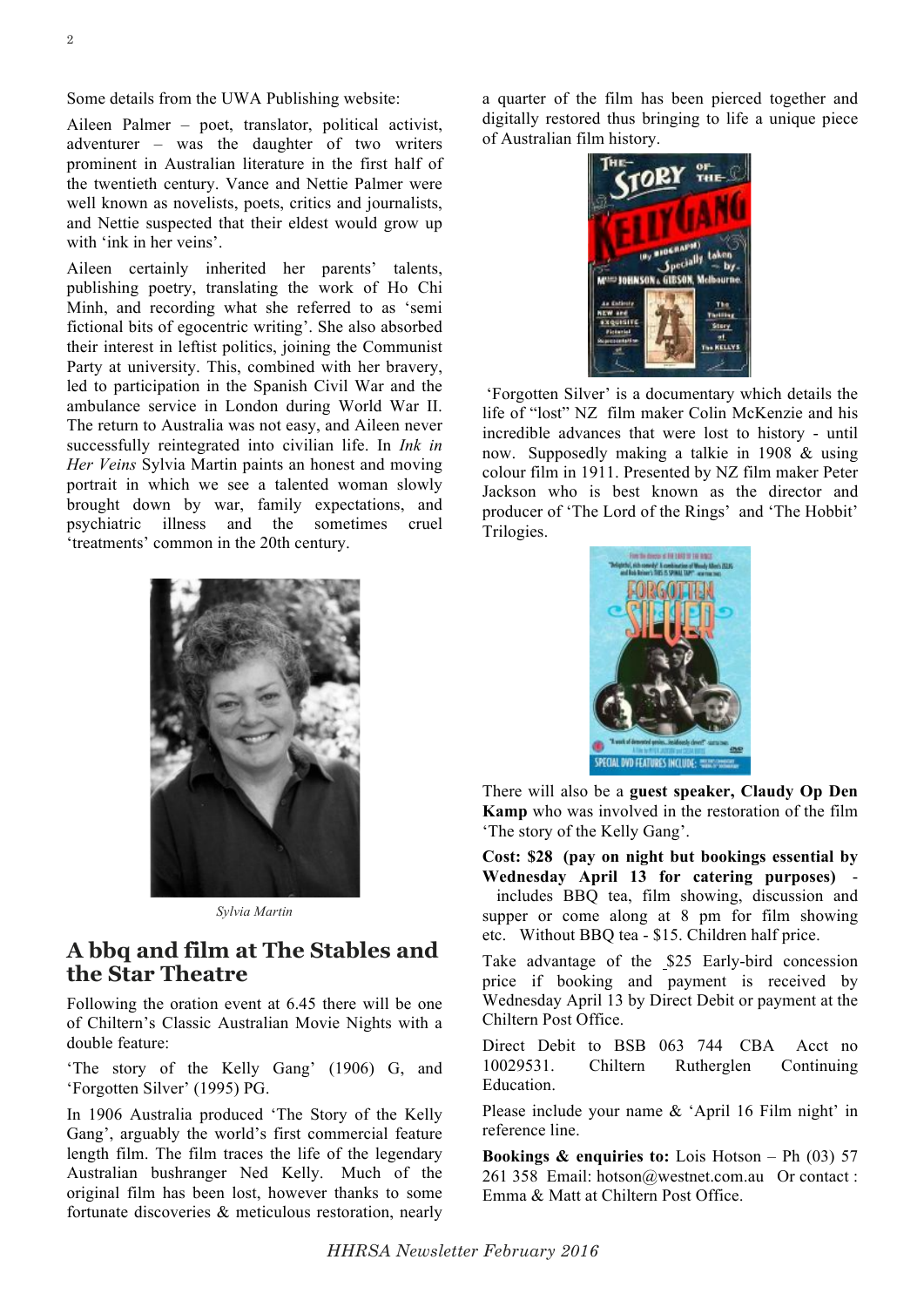Aileen Palmer – poet, translator, political activist, adventurer – was the daughter of two writers prominent in Australian literature in the first half of the twentieth century. Vance and Nettie Palmer were well known as novelists, poets, critics and journalists, and Nettie suspected that their eldest would grow up with 'ink in her veins'.

Aileen certainly inherited her parents' talents, publishing poetry, translating the work of Ho Chi Minh, and recording what she referred to as 'semi fictional bits of egocentric writing'. She also absorbed their interest in leftist politics, joining the Communist Party at university. This, combined with her bravery, led to participation in the Spanish Civil War and the ambulance service in London during World War II. The return to Australia was not easy, and Aileen never successfully reintegrated into civilian life. In *Ink in Her Veins* Sylvia Martin paints an honest and moving portrait in which we see a talented woman slowly brought down by war, family expectations, and psychiatric illness and the sometimes cruel 'treatments' common in the 20th century.



*Sylvia Martin*

### **A bbq and film at The Stables and the Star Theatre**

Following the oration event at 6.45 there will be one of Chiltern's Classic Australian Movie Nights with a double feature:

'The story of the Kelly Gang' (1906) G, and 'Forgotten Silver' (1995) PG.

In 1906 Australia produced 'The Story of the Kelly Gang', arguably the world's first commercial feature length film. The film traces the life of the legendary Australian bushranger Ned Kelly. Much of the original film has been lost, however thanks to some fortunate discoveries & meticulous restoration, nearly

a quarter of the film has been pierced together and digitally restored thus bringing to life a unique piece of Australian film history.



'Forgotten Silver' is a documentary which details the life of "lost" NZ film maker Colin McKenzie and his incredible advances that were lost to history - until now. Supposedly making a talkie in 1908 & using colour film in 1911. Presented by NZ film maker Peter Jackson who is best known as the director and producer of 'The Lord of the Rings' and 'The Hobbit' Trilogies.



There will also be a **guest speaker, Claudy Op Den Kamp** who was involved in the restoration of the film 'The story of the Kelly Gang'.

**Cost: \$28 (pay on night but bookings essential by Wednesday April 13 for catering purposes)** includes BBQ tea, film showing, discussion and supper or come along at 8 pm for film showing etc. Without BBQ tea - \$15. Children half price.

Take advantage of the \$25 Early-bird concession price if booking and payment is received by Wednesday April 13 by Direct Debit or payment at the Chiltern Post Office.

Direct Debit to BSB 063 744 CBA Acct no 10029531. Chiltern Rutherglen Continuing Education.

Please include your name & 'April 16 Film night' in reference line.

**Bookings & enquiries to:** Lois Hotson – Ph (03) 57 261 358 Email: hotson@westnet.com.au Or contact : Emma & Matt at Chiltern Post Office.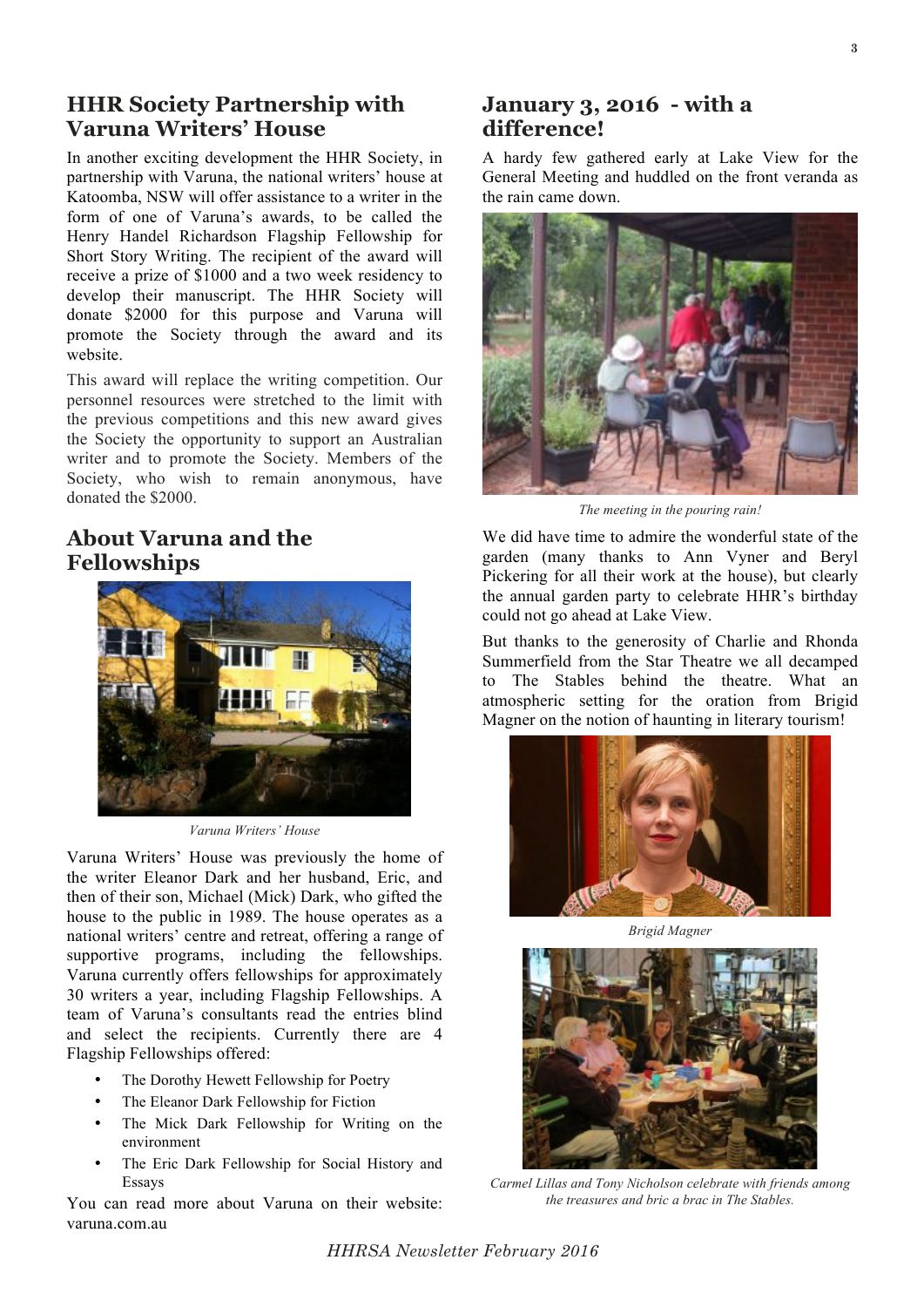### **HHR Society Partnership with Varuna Writers' House**

In another exciting development the HHR Society, in partnership with Varuna, the national writers' house at Katoomba, NSW will offer assistance to a writer in the form of one of Varuna's awards, to be called the Henry Handel Richardson Flagship Fellowship for Short Story Writing. The recipient of the award will receive a prize of \$1000 and a two week residency to develop their manuscript. The HHR Society will donate \$2000 for this purpose and Varuna will promote the Society through the award and its website.

This award will replace the writing competition. Our personnel resources were stretched to the limit with the previous competitions and this new award gives the Society the opportunity to support an Australian writer and to promote the Society. Members of the Society, who wish to remain anonymous, have donated the \$2000.

# **About Varuna and the Fellowships**



*Varuna Writers' House*

Varuna Writers' House was previously the home of the writer Eleanor Dark and her husband, Eric, and then of their son, Michael (Mick) Dark, who gifted the house to the public in 1989. The house operates as a national writers' centre and retreat, offering a range of supportive programs, including the fellowships. Varuna currently offers fellowships for approximately 30 writers a year, including Flagship Fellowships. A team of Varuna's consultants read the entries blind and select the recipients. Currently there are 4 Flagship Fellowships offered:

- The Dorothy Hewett Fellowship for Poetry
- The Eleanor Dark Fellowship for Fiction
- The Mick Dark Fellowship for Writing on the environment
- The Eric Dark Fellowship for Social History and Essays

You can read more about Varuna on their website: varuna.com.au

## **January 3, 2016 - with a difference!**

A hardy few gathered early at Lake View for the General Meeting and huddled on the front veranda as the rain came down.



*The meeting in the pouring rain!*

We did have time to admire the wonderful state of the garden (many thanks to Ann Vyner and Beryl Pickering for all their work at the house), but clearly the annual garden party to celebrate HHR's birthday could not go ahead at Lake View.

But thanks to the generosity of Charlie and Rhonda Summerfield from the Star Theatre we all decamped to The Stables behind the theatre. What an atmospheric setting for the oration from Brigid Magner on the notion of haunting in literary tourism!



*Brigid Magner*



*Carmel Lillas and Tony Nicholson celebrate with friends among the treasures and bric a brac in The Stables.*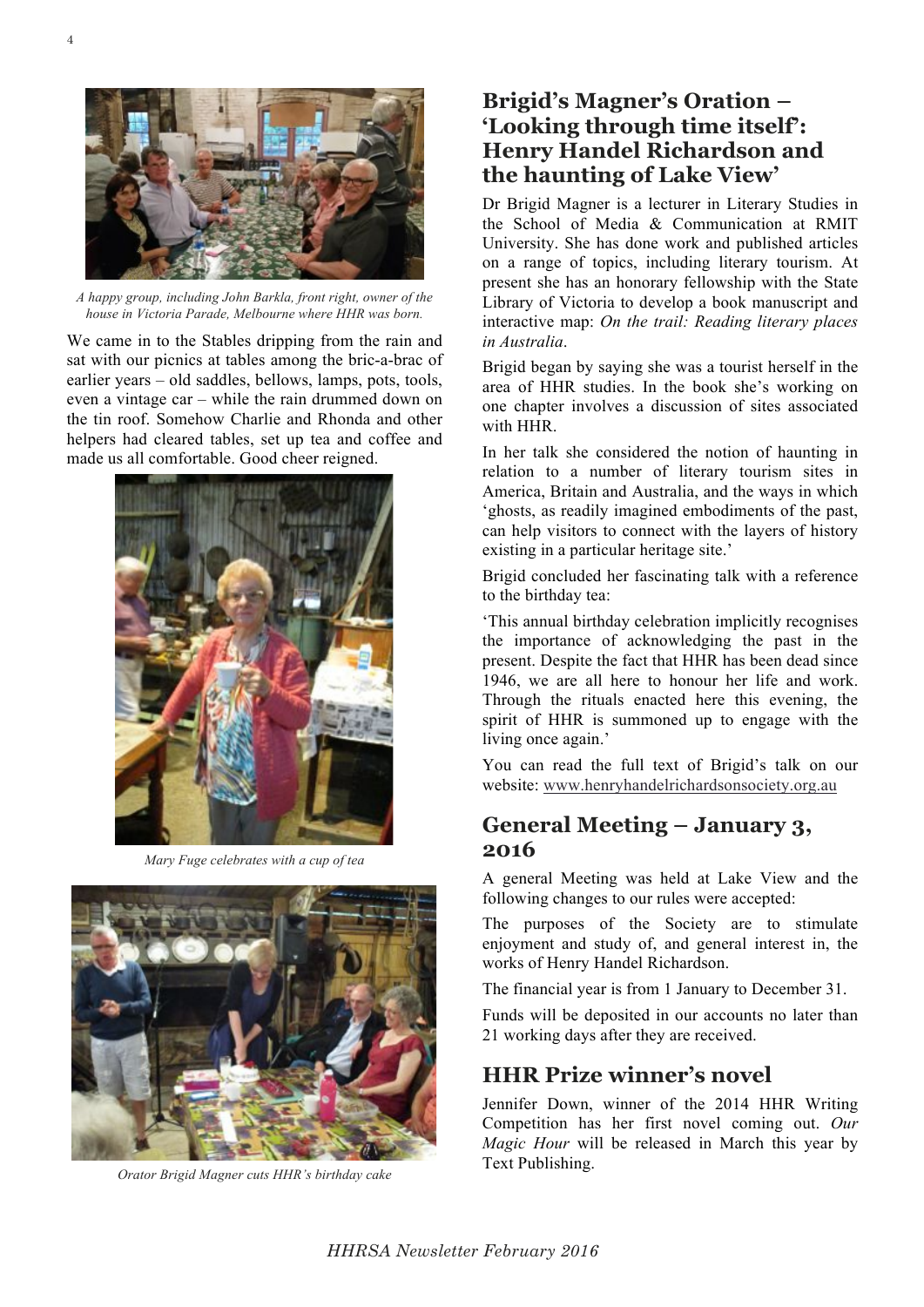

*A happy group, including John Barkla, front right, owner of the house in Victoria Parade, Melbourne where HHR was born.*

We came in to the Stables dripping from the rain and sat with our picnics at tables among the bric-a-brac of earlier years – old saddles, bellows, lamps, pots, tools, even a vintage car – while the rain drummed down on the tin roof. Somehow Charlie and Rhonda and other helpers had cleared tables, set up tea and coffee and made us all comfortable. Good cheer reigned.



*Mary Fuge celebrates with a cup of tea*



*Orator Brigid Magner cuts HHR's birthday cake*

# **Brigid's Magner's Oration – 'Looking through time itself': Henry Handel Richardson and the haunting of Lake View'**

Dr Brigid Magner is a lecturer in Literary Studies in the School of Media & Communication at RMIT University. She has done work and published articles on a range of topics, including literary tourism. At present she has an honorary fellowship with the State Library of Victoria to develop a book manuscript and interactive map: *On the trail: Reading literary places in Australia*.

Brigid began by saying she was a tourist herself in the area of HHR studies. In the book she's working on one chapter involves a discussion of sites associated with HHR.

In her talk she considered the notion of haunting in relation to a number of literary tourism sites in America, Britain and Australia, and the ways in which 'ghosts, as readily imagined embodiments of the past, can help visitors to connect with the layers of history existing in a particular heritage site.'

Brigid concluded her fascinating talk with a reference to the birthday tea:

'This annual birthday celebration implicitly recognises the importance of acknowledging the past in the present. Despite the fact that HHR has been dead since 1946, we are all here to honour her life and work. Through the rituals enacted here this evening, the spirit of HHR is summoned up to engage with the living once again.'

You can read the full text of Brigid's talk on our website: www.henryhandelrichardsonsociety.org.au

### **General Meeting – January 3, 2016**

A general Meeting was held at Lake View and the following changes to our rules were accepted:

The purposes of the Society are to stimulate enjoyment and study of, and general interest in, the works of Henry Handel Richardson.

The financial year is from 1 January to December 31.

Funds will be deposited in our accounts no later than 21 working days after they are received.

# **HHR Prize winner's novel**

Jennifer Down, winner of the 2014 HHR Writing Competition has her first novel coming out. *Our Magic Hour* will be released in March this year by Text Publishing.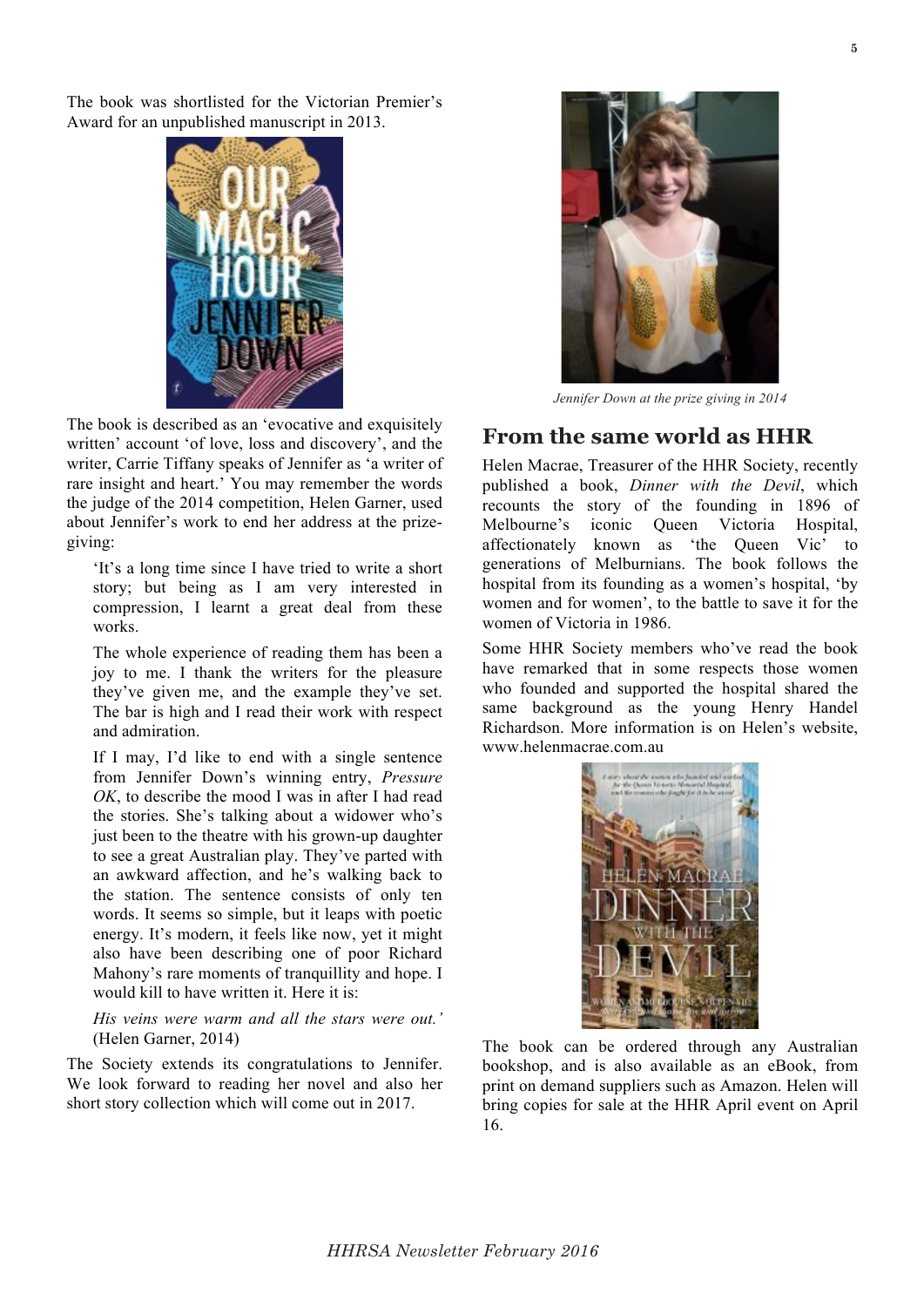The book was shortlisted for the Victorian Premier's Award for an unpublished manuscript in 2013.



The book is described as an 'evocative and exquisitely written' account 'of love, loss and discovery', and the writer, Carrie Tiffany speaks of Jennifer as 'a writer of rare insight and heart.' You may remember the words the judge of the 2014 competition, Helen Garner, used about Jennifer's work to end her address at the prizegiving:

'It's a long time since I have tried to write a short story; but being as I am very interested in compression, I learnt a great deal from these works.

The whole experience of reading them has been a joy to me. I thank the writers for the pleasure they've given me, and the example they've set. The bar is high and I read their work with respect and admiration.

If I may, I'd like to end with a single sentence from Jennifer Down's winning entry, *Pressure OK*, to describe the mood I was in after I had read the stories. She's talking about a widower who's just been to the theatre with his grown-up daughter to see a great Australian play. They've parted with an awkward affection, and he's walking back to the station. The sentence consists of only ten words. It seems so simple, but it leaps with poetic energy. It's modern, it feels like now, yet it might also have been describing one of poor Richard Mahony's rare moments of tranquillity and hope. I would kill to have written it. Here it is:

*His veins were warm and all the stars were out.'* (Helen Garner, 2014)

The Society extends its congratulations to Jennifer. We look forward to reading her novel and also her short story collection which will come out in 2017.



*Jennifer Down at the prize giving in 2014*

### **From the same world as HHR**

Helen Macrae, Treasurer of the HHR Society, recently published a book, *Dinner with the Devil*, which recounts the story of the founding in 1896 of Melbourne's iconic Queen Victoria Hospital, affectionately known as 'the Queen Vic' to generations of Melburnians. The book follows the hospital from its founding as a women's hospital, 'by women and for women', to the battle to save it for the women of Victoria in 1986.

Some HHR Society members who've read the book have remarked that in some respects those women who founded and supported the hospital shared the same background as the young Henry Handel Richardson. More information is on Helen's website, www.helenmacrae.com.au



The book can be ordered through any Australian bookshop, and is also available as an eBook, from print on demand suppliers such as Amazon. Helen will bring copies for sale at the HHR April event on April 16.